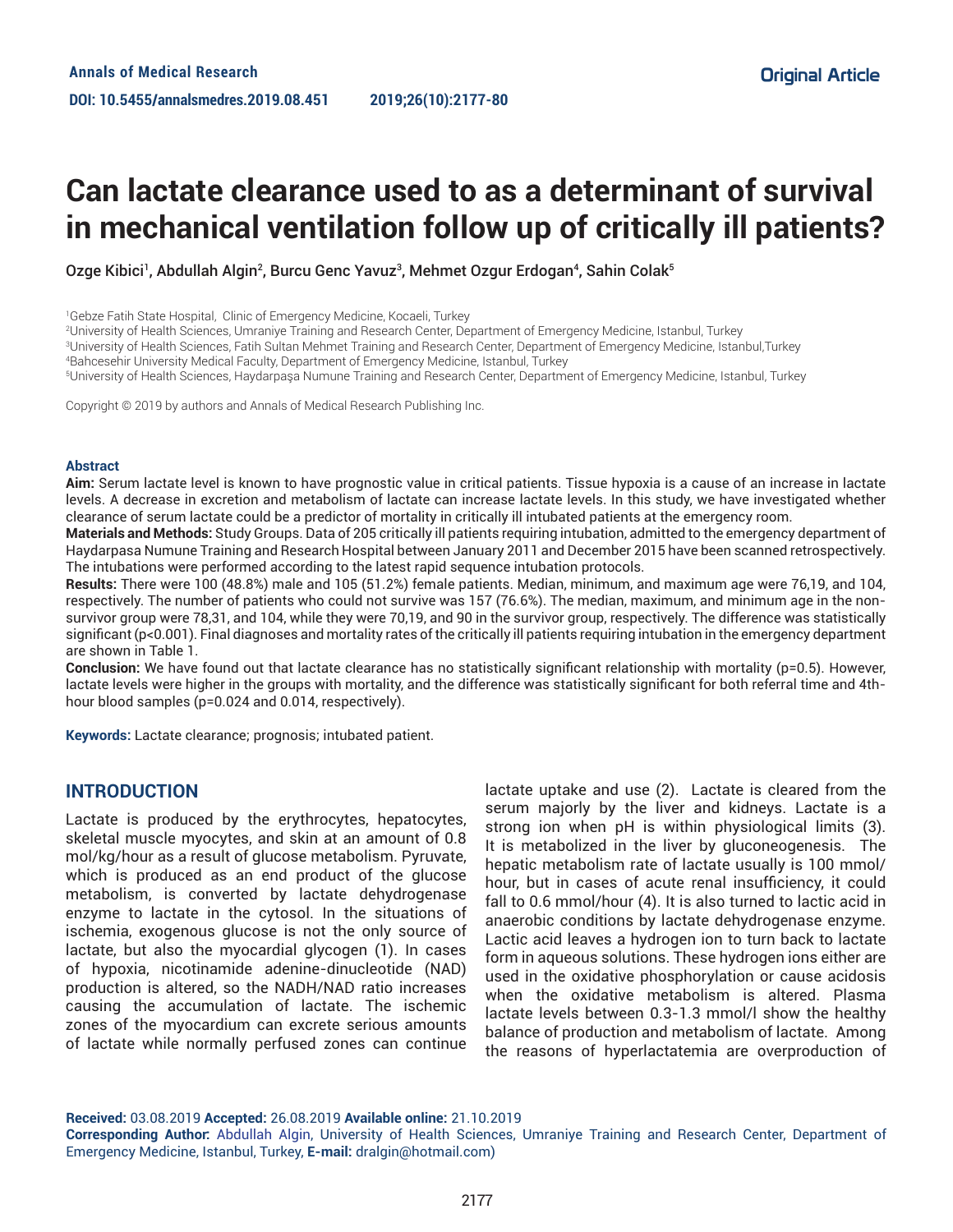# **Can lactate clearance used to as a determinant of survival in mechanical ventilation follow up of critically ill patients?**

Ozge Kibici', Abdullah Algin?, Burcu Genc Yavuzª, Mehmet Ozgur Erdogan4, Sahin Colak§

2 University of Health Sciences, Umraniye Training and Research Center, Department of Emergency Medicine, Istanbul, Turkey

4 Bahcesehir University Medical Faculty, Department of Emergency Medicine, Istanbul, Turkey

5 University of Health Sciences, Haydarpaşa Numune Training and Research Center, Department of Emergency Medicine, Istanbul, Turkey

Copyright © 2019 by authors and Annals of Medical Research Publishing Inc.

#### **Abstract**

**Aim:** Serum lactate level is known to have prognostic value in critical patients. Tissue hypoxia is a cause of an increase in lactate levels. A decrease in excretion and metabolism of lactate can increase lactate levels. In this study, we have investigated whether clearance of serum lactate could be a predictor of mortality in critically ill intubated patients at the emergency room.

**Materials and Methods:** Study Groups. Data of 205 critically ill patients requiring intubation, admitted to the emergency department of Haydarpasa Numune Training and Research Hospital between January 2011 and December 2015 have been scanned retrospectively. The intubations were performed according to the latest rapid sequence intubation protocols.

**Results:** There were 100 (48.8%) male and 105 (51.2%) female patients. Median, minimum, and maximum age were 76,19, and 104, respectively. The number of patients who could not survive was 157 (76.6%). The median, maximum, and minimum age in the nonsurvivor group were 78,31, and 104, while they were 70,19, and 90 in the survivor group, respectively. The difference was statistically significant (p<0.001). Final diagnoses and mortality rates of the critically ill patients requiring intubation in the emergency department are shown in Table 1.

**Conclusion:** We have found out that lactate clearance has no statistically significant relationship with mortality (p=0.5). However, lactate levels were higher in the groups with mortality, and the difference was statistically significant for both referral time and 4thhour blood samples (p=0.024 and 0.014, respectively).

**Keywords:** Lactate clearance; prognosis; intubated patient.

### **INTRODUCTION**

Lactate is produced by the erythrocytes, hepatocytes, skeletal muscle myocytes, and skin at an amount of 0.8 mol/kg/hour as a result of glucose metabolism. Pyruvate, which is produced as an end product of the glucose metabolism, is converted by lactate dehydrogenase enzyme to lactate in the cytosol. In the situations of ischemia, exogenous glucose is not the only source of lactate, but also the myocardial glycogen (1). In cases of hypoxia, nicotinamide adenine-dinucleotide (NAD) production is altered, so the NADH/NAD ratio increases causing the accumulation of lactate. The ischemic zones of the myocardium can excrete serious amounts of lactate while normally perfused zones can continue

lactate uptake and use (2). Lactate is cleared from the serum majorly by the liver and kidneys. Lactate is a strong ion when pH is within physiological limits (3). It is metabolized in the liver by gluconeogenesis. The hepatic metabolism rate of lactate usually is 100 mmol/ hour, but in cases of acute renal insufficiency, it could fall to 0.6 mmol/hour (4). It is also turned to lactic acid in anaerobic conditions by lactate dehydrogenase enzyme. Lactic acid leaves a hydrogen ion to turn back to lactate form in aqueous solutions. These hydrogen ions either are used in the oxidative phosphorylation or cause acidosis when the oxidative metabolism is altered. Plasma lactate levels between 0.3-1.3 mmol/l show the healthy balance of production and metabolism of lactate. Among the reasons of hyperlactatemia are overproduction of

**Received:** 03.08.2019 **Accepted:** 26.08.2019 **Available online:** 21.10.2019

**Corresponding Author:** Abdullah Algin, University of Health Sciences, Umraniye Training and Research Center, Department of Emergency Medicine, Istanbul, Turkey, **E-mail:** dralgin@hotmail.com)

<sup>1</sup> Gebze Fatih State Hospital, Clinic of Emergency Medicine, Kocaeli, Turkey

<sup>3</sup> University of Health Sciences, Fatih Sultan Mehmet Training and Research Center, Department of Emergency Medicine, Istanbul,Turkey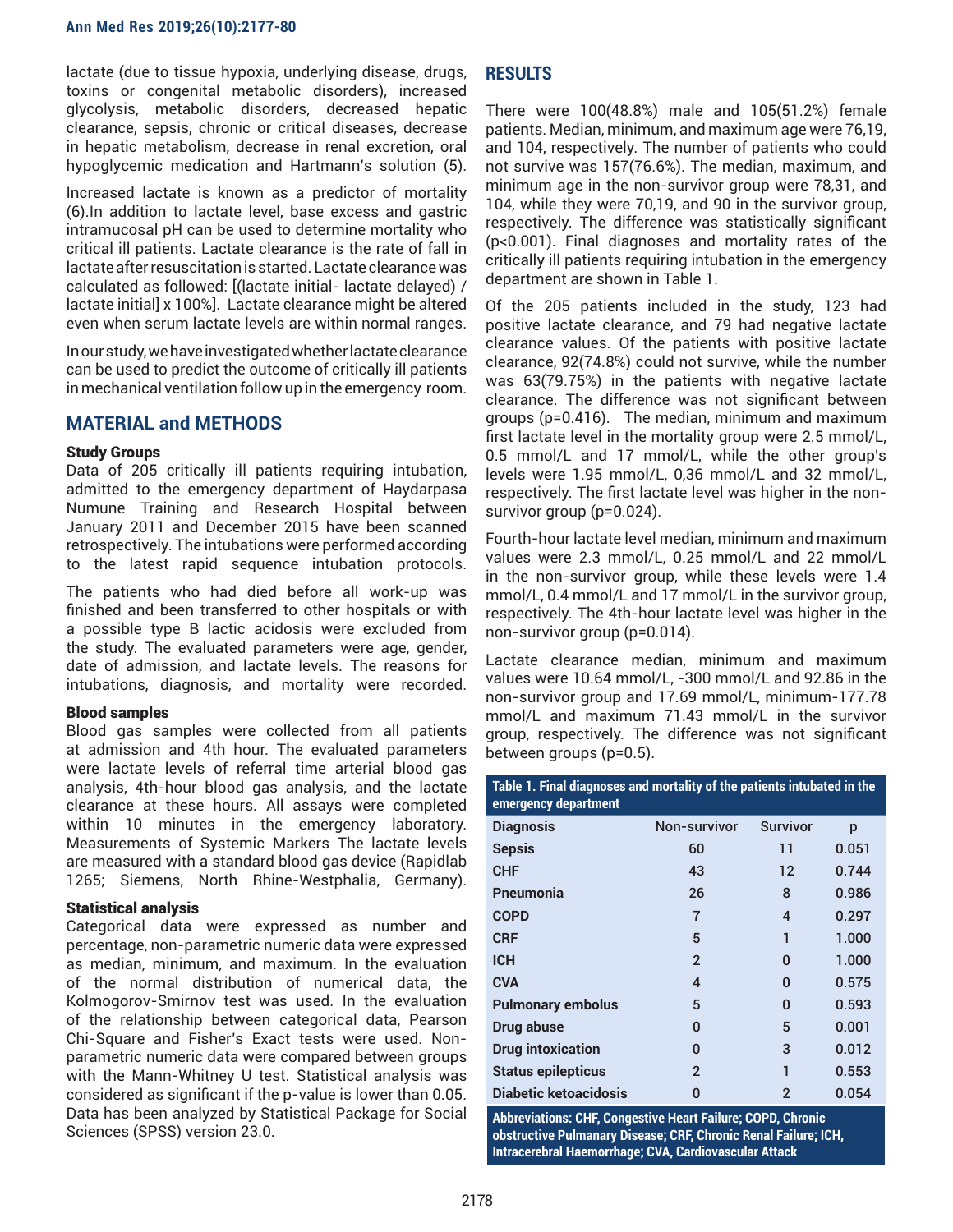lactate (due to tissue hypoxia, underlying disease, drugs, toxins or congenital metabolic disorders), increased glycolysis, metabolic disorders, decreased hepatic clearance, sepsis, chronic or critical diseases, decrease in hepatic metabolism, decrease in renal excretion, oral hypoglycemic medication and Hartmann's solution (5).

Increased lactate is known as a predictor of mortality (6).In addition to lactate level, base excess and gastric intramucosal pH can be used to determine mortality who critical ill patients. Lactate clearance is the rate of fall in lactate after resuscitation is started. Lactate clearance was calculated as followed: [(lactate initial- lactate delayed) / lactate initial] x 100%]. Lactate clearance might be altered even when serum lactate levels are within normal ranges.

In our study, we have investigated whether lactate clearance can be used to predict the outcome of critically ill patients in mechanical ventilation follow up in the emergency room.

## **MATERIAL and METHODS**

#### Study Groups

Data of 205 critically ill patients requiring intubation, admitted to the emergency department of Haydarpasa Numune Training and Research Hospital between January 2011 and December 2015 have been scanned retrospectively. The intubations were performed according to the latest rapid sequence intubation protocols.

The patients who had died before all work-up was finished and been transferred to other hospitals or with a possible type B lactic acidosis were excluded from the study. The evaluated parameters were age, gender, date of admission, and lactate levels. The reasons for intubations, diagnosis, and mortality were recorded.

#### Blood samples

Blood gas samples were collected from all patients at admission and 4th hour. The evaluated parameters were lactate levels of referral time arterial blood gas analysis, 4th-hour blood gas analysis, and the lactate clearance at these hours. All assays were completed within 10 minutes in the emergency laboratory. Measurements of Systemic Markers The lactate levels are measured with a standard blood gas device (Rapidlab 1265; Siemens, North Rhine-Westphalia, Germany).

### Statistical analysis

Categorical data were expressed as number and percentage, non-parametric numeric data were expressed as median, minimum, and maximum. In the evaluation of the normal distribution of numerical data, the Kolmogorov-Smirnov test was used. In the evaluation of the relationship between categorical data, Pearson Chi-Square and Fisher's Exact tests were used. Nonparametric numeric data were compared between groups with the Mann-Whitney U test. Statistical analysis was considered as significant if the p-value is lower than 0.05. Data has been analyzed by Statistical Package for Social Sciences (SPSS) version 23.0.

## **RESULTS**

There were 100(48.8%) male and 105(51.2%) female patients. Median, minimum, and maximum age were 76,19, and 104, respectively. The number of patients who could not survive was 157(76.6%). The median, maximum, and minimum age in the non-survivor group were 78,31, and 104, while they were 70,19, and 90 in the survivor group, respectively. The difference was statistically significant (p<0.001). Final diagnoses and mortality rates of the critically ill patients requiring intubation in the emergency department are shown in Table 1.

Of the 205 patients included in the study, 123 had positive lactate clearance, and 79 had negative lactate clearance values. Of the patients with positive lactate clearance, 92(74.8%) could not survive, while the number was 63(79.75%) in the patients with negative lactate clearance. The difference was not significant between groups (p=0.416). The median, minimum and maximum first lactate level in the mortality group were 2.5 mmol/L, 0.5 mmol/L and 17 mmol/L, while the other group's levels were 1.95 mmol/L, 0,36 mmol/L and 32 mmol/L, respectively. The first lactate level was higher in the nonsurvivor group (p=0.024).

Fourth-hour lactate level median, minimum and maximum values were 2.3 mmol/L, 0.25 mmol/L and 22 mmol/L in the non-survivor group, while these levels were 1.4 mmol/L, 0.4 mmol/L and 17 mmol/L in the survivor group, respectively. The 4th-hour lactate level was higher in the non-survivor group (p=0.014).

Lactate clearance median, minimum and maximum values were 10.64 mmol/L, -300 mmol/L and 92.86 in the non-survivor group and 17.69 mmol/L, minimum-177.78 mmol/L and maximum 71.43 mmol/L in the survivor group, respectively. The difference was not significant between groups (p=0.5).

**Table 1. Final diagnoses and mortality of the patients intubated in the emergency department**

| <b>Diagnosis</b>          | Non-survivor   | <b>Survivor</b> | p     |
|---------------------------|----------------|-----------------|-------|
| <b>Sepsis</b>             | 60             | 11              | 0.051 |
| <b>CHF</b>                | 43             | 12              | 0.744 |
| Pneumonia                 | 26             | 8               | 0.986 |
| <b>COPD</b>               | 7              | 4               | 0.297 |
| <b>CRF</b>                | 5              | 1               | 1.000 |
| <b>ICH</b>                | $\overline{2}$ | 0               | 1.000 |
| <b>CVA</b>                | 4              | 0               | 0.575 |
| <b>Pulmonary embolus</b>  | 5              | 0               | 0.593 |
| Drug abuse                | 0              | 5               | 0.001 |
| <b>Drug intoxication</b>  | <sup>0</sup>   | 3               | 0.012 |
| <b>Status epilepticus</b> | $\overline{2}$ | 1               | 0.553 |
| Diabetic ketoacidosis     | O              | 2               | 0.054 |

**Abbreviations: CHF, Congestive Heart Failure; COPD, Chronic obstructive Pulmanary Disease; CRF, Chronic Renal Failure; ICH, Intracerebral Haemorrhage; CVA, Cardiovascular Attack**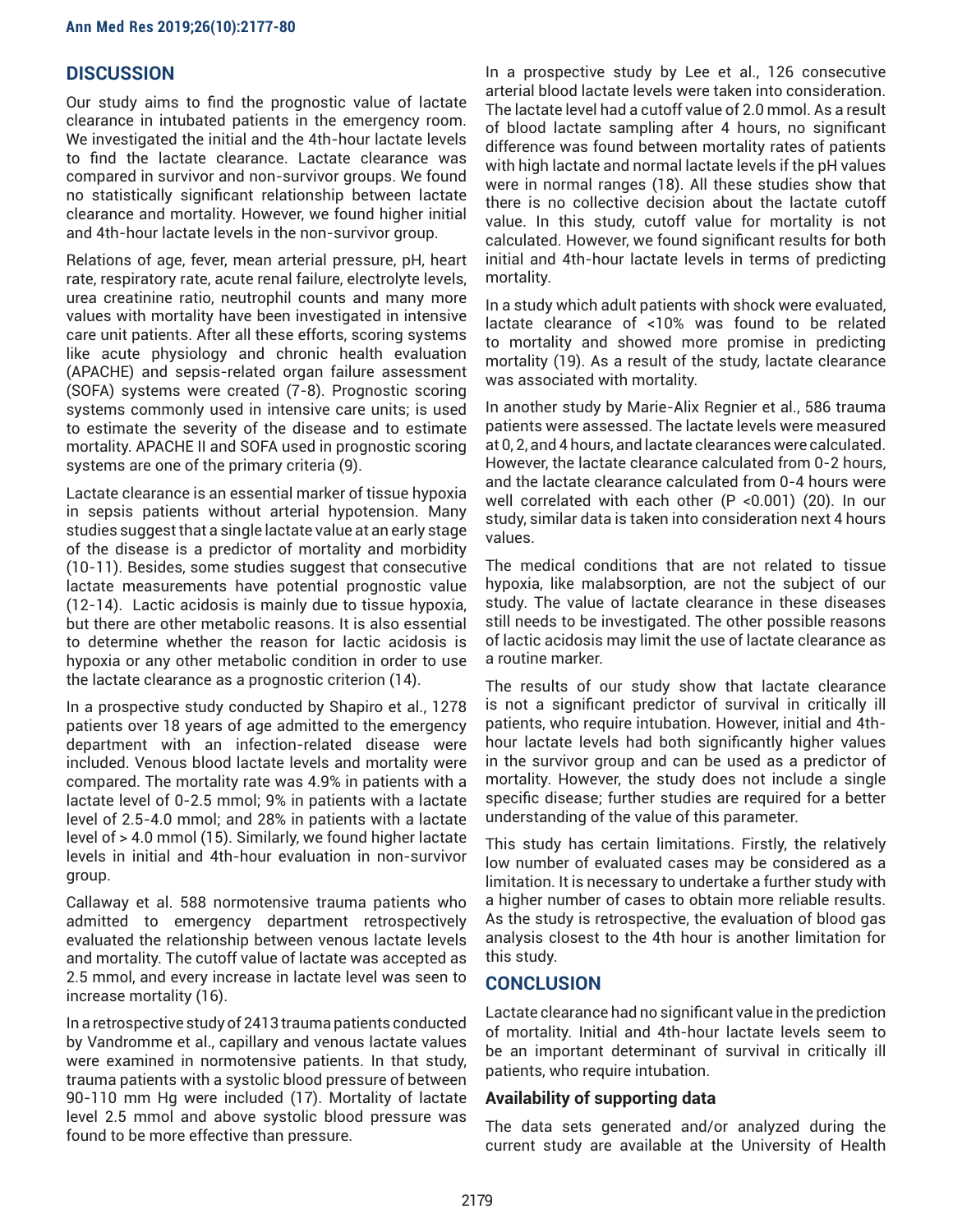## **DISCUSSION**

Our study aims to find the prognostic value of lactate clearance in intubated patients in the emergency room. We investigated the initial and the 4th-hour lactate levels to find the lactate clearance. Lactate clearance was compared in survivor and non-survivor groups. We found no statistically significant relationship between lactate clearance and mortality. However, we found higher initial and 4th-hour lactate levels in the non-survivor group.

Relations of age, fever, mean arterial pressure, pH, heart rate, respiratory rate, acute renal failure, electrolyte levels, urea creatinine ratio, neutrophil counts and many more values with mortality have been investigated in intensive care unit patients. After all these efforts, scoring systems like acute physiology and chronic health evaluation (APACHE) and sepsis-related organ failure assessment (SOFA) systems were created (7-8). Prognostic scoring systems commonly used in intensive care units; is used to estimate the severity of the disease and to estimate mortality. APACHE II and SOFA used in prognostic scoring systems are one of the primary criteria (9).

Lactate clearance is an essential marker of tissue hypoxia in sepsis patients without arterial hypotension. Many studies suggest that a single lactate value at an early stage of the disease is a predictor of mortality and morbidity (10-11). Besides, some studies suggest that consecutive lactate measurements have potential prognostic value (12-14). Lactic acidosis is mainly due to tissue hypoxia, but there are other metabolic reasons. It is also essential to determine whether the reason for lactic acidosis is hypoxia or any other metabolic condition in order to use the lactate clearance as a prognostic criterion (14).

In a prospective study conducted by Shapiro et al., 1278 patients over 18 years of age admitted to the emergency department with an infection-related disease were included. Venous blood lactate levels and mortality were compared. The mortality rate was 4.9% in patients with a lactate level of 0-2.5 mmol; 9% in patients with a lactate level of 2.5-4.0 mmol; and 28% in patients with a lactate level of > 4.0 mmol (15). Similarly, we found higher lactate levels in initial and 4th-hour evaluation in non-survivor group.

Callaway et al. 588 normotensive trauma patients who admitted to emergency department retrospectively evaluated the relationship between venous lactate levels and mortality. The cutoff value of lactate was accepted as 2.5 mmol, and every increase in lactate level was seen to increase mortality (16).

In a retrospective study of 2413 trauma patients conducted by Vandromme et al., capillary and venous lactate values were examined in normotensive patients. In that study, trauma patients with a systolic blood pressure of between 90-110 mm Hg were included (17). Mortality of lactate level 2.5 mmol and above systolic blood pressure was found to be more effective than pressure.

In a prospective study by Lee et al., 126 consecutive arterial blood lactate levels were taken into consideration. The lactate level had a cutoff value of 2.0 mmol. As a result of blood lactate sampling after 4 hours, no significant difference was found between mortality rates of patients with high lactate and normal lactate levels if the pH values were in normal ranges (18). All these studies show that there is no collective decision about the lactate cutoff value. In this study, cutoff value for mortality is not calculated. However, we found significant results for both initial and 4th-hour lactate levels in terms of predicting mortality.

In a study which adult patients with shock were evaluated, lactate clearance of <10% was found to be related to mortality and showed more promise in predicting mortality (19). As a result of the study, lactate clearance was associated with mortality.

In another study by Marie-Alix Regnier et al., 586 trauma patients were assessed. The lactate levels were measured at 0, 2, and 4 hours, and lactate clearances were calculated. However, the lactate clearance calculated from 0-2 hours, and the lactate clearance calculated from 0-4 hours were well correlated with each other (P <0.001) (20). In our study, similar data is taken into consideration next 4 hours values.

The medical conditions that are not related to tissue hypoxia, like malabsorption, are not the subject of our study. The value of lactate clearance in these diseases still needs to be investigated. The other possible reasons of lactic acidosis may limit the use of lactate clearance as a routine marker.

The results of our study show that lactate clearance is not a significant predictor of survival in critically ill patients, who require intubation. However, initial and 4thhour lactate levels had both significantly higher values in the survivor group and can be used as a predictor of mortality. However, the study does not include a single specific disease; further studies are required for a better understanding of the value of this parameter.

This study has certain limitations. Firstly, the relatively low number of evaluated cases may be considered as a limitation. It is necessary to undertake a further study with a higher number of cases to obtain more reliable results. As the study is retrospective, the evaluation of blood gas analysis closest to the 4th hour is another limitation for this study.

## **CONCLUSION**

Lactate clearance had no significant value in the prediction of mortality. Initial and 4th-hour lactate levels seem to be an important determinant of survival in critically ill patients, who require intubation.

### **Availability of supporting data**

The data sets generated and/or analyzed during the current study are available at the University of Health